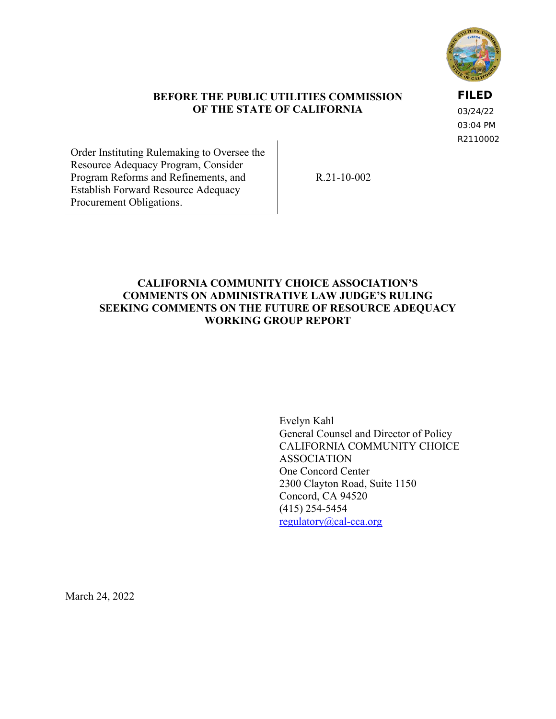

### **BEFORE THE PUBLIC UTILITIES COMMISSION OF THE STATE OF CALIFORNIA**

**FILED**

03/24/22 03:04 PM R2110002

Order Instituting Rulemaking to Oversee the Resource Adequacy Program, Consider Program Reforms and Refinements, and Establish Forward Resource Adequacy Procurement Obligations.

R.21-10-002

## **CALIFORNIA COMMUNITY CHOICE ASSOCIATION'S COMMENTS ON ADMINISTRATIVE LAW JUDGE'S RULING SEEKING COMMENTS ON THE FUTURE OF RESOURCE ADEQUACY WORKING GROUP REPORT**

Evelyn Kahl General Counsel and Director of Policy CALIFORNIA COMMUNITY CHOICE ASSOCIATION One Concord Center 2300 Clayton Road, Suite 1150 Concord, CA 94520 (415) 254-5454 [regulatory@cal-cca.org](mailto:regulatory@cal-cca.org)

March 24, 2022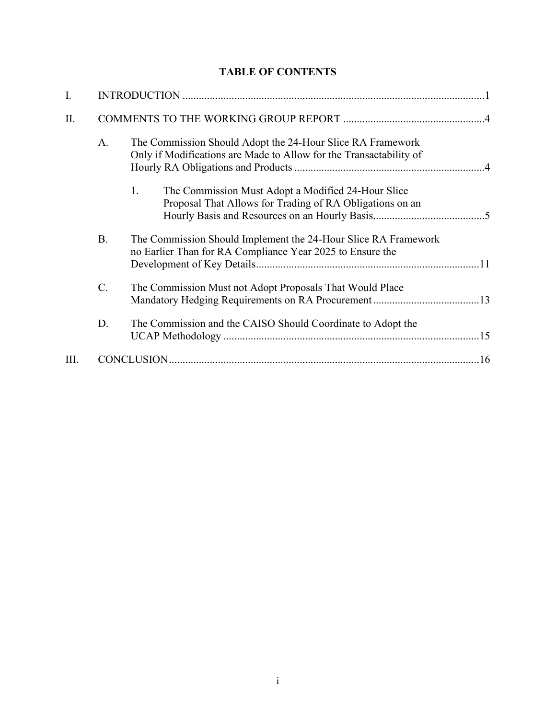# **TABLE OF CONTENTS**

| I.  |           |                                                                                                                                  |  |  |  |  |  |  |
|-----|-----------|----------------------------------------------------------------------------------------------------------------------------------|--|--|--|--|--|--|
| II. |           |                                                                                                                                  |  |  |  |  |  |  |
|     | A.        | The Commission Should Adopt the 24-Hour Slice RA Framework<br>Only if Modifications are Made to Allow for the Transactability of |  |  |  |  |  |  |
|     |           | The Commission Must Adopt a Modified 24-Hour Slice<br>1.<br>Proposal That Allows for Trading of RA Obligations on an             |  |  |  |  |  |  |
|     | <b>B.</b> | The Commission Should Implement the 24-Hour Slice RA Framework<br>no Earlier Than for RA Compliance Year 2025 to Ensure the      |  |  |  |  |  |  |
|     | $C$ .     | The Commission Must not Adopt Proposals That Would Place                                                                         |  |  |  |  |  |  |
|     | D.        | The Commission and the CAISO Should Coordinate to Adopt the                                                                      |  |  |  |  |  |  |
| Ш.  |           |                                                                                                                                  |  |  |  |  |  |  |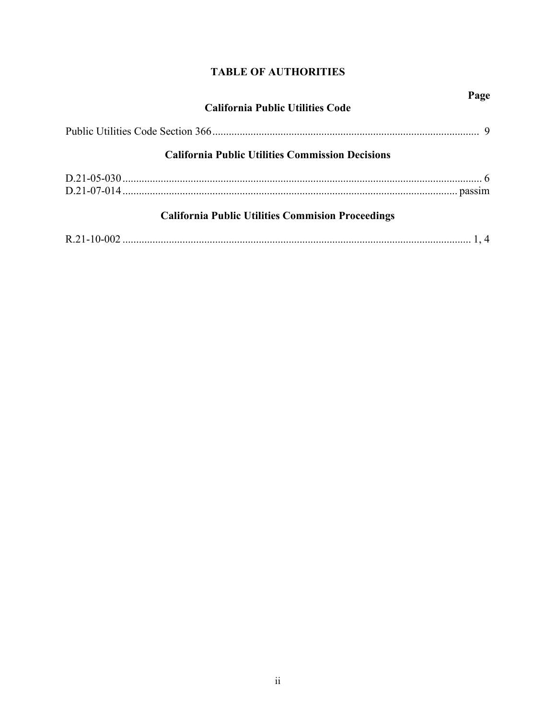# **TABLE OF AUTHORITIES**

| <b>California Public Utilities Code</b>                  | Page |
|----------------------------------------------------------|------|
|                                                          |      |
| <b>California Public Utilities Commission Decisions</b>  |      |
|                                                          |      |
| <b>California Public Utilities Commision Proceedings</b> |      |
|                                                          |      |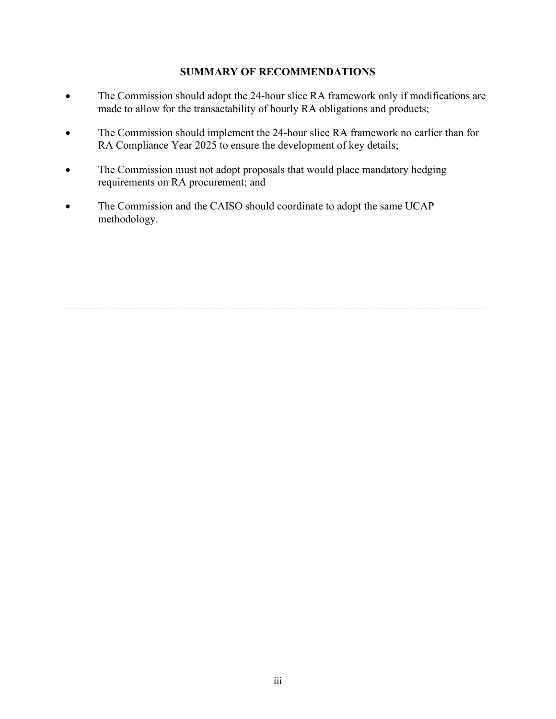### **SUMMARY OF RECOMMENDATIONS**

- The Commission should adopt the 24-hour slice RA framework only if modifications are made to allow for the transactability of hourly RA obligations and products;
- The Commission should implement the 24-hour slice RA framework no earlier than for RA Compliance Year 2025 to ensure the development of key details;
- The Commission must not adopt proposals that would place mandatory hedging requirements on RA procurement; and
- The Commission and the CAISO should coordinate to adopt the same UCAP methodology.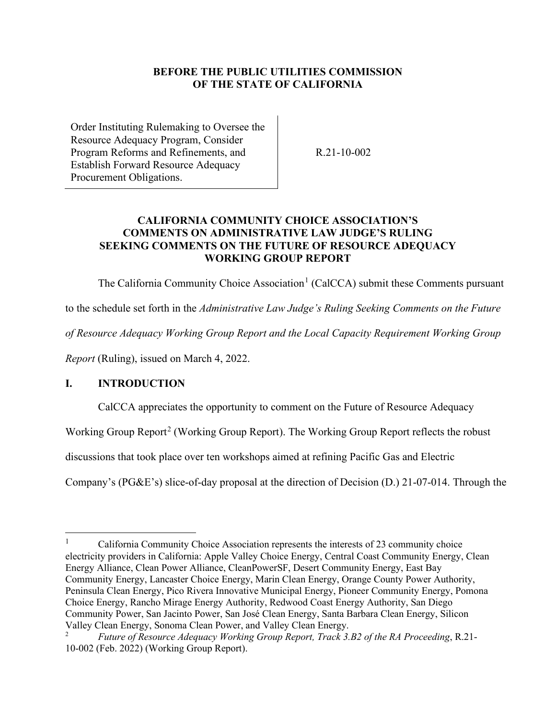### **BEFORE THE PUBLIC UTILITIES COMMISSION OF THE STATE OF CALIFORNIA**

Order Instituting Rulemaking to Oversee the Resource Adequacy Program, Consider Program Reforms and Refinements, and Establish Forward Resource Adequacy Procurement Obligations.

R.21-10-002

## **CALIFORNIA COMMUNITY CHOICE ASSOCIATION'S COMMENTS ON ADMINISTRATIVE LAW JUDGE'S RULING SEEKING COMMENTS ON THE FUTURE OF RESOURCE ADEQUACY WORKING GROUP REPORT**

The California Community Choice Association<sup>[1](#page-4-1)</sup> (CalCCA) submit these Comments pursuant

to the schedule set forth in the *Administrative Law Judge's Ruling Seeking Comments on the Future* 

*of Resource Adequacy Working Group Report and the Local Capacity Requirement Working Group* 

*Report* (Ruling), issued on March 4, 2022.

## <span id="page-4-0"></span>**I. INTRODUCTION**

CalCCA appreciates the opportunity to comment on the Future of Resource Adequacy

Working Group Report<sup>[2](#page-4-2)</sup> (Working Group Report). The Working Group Report reflects the robust

discussions that took place over ten workshops aimed at refining Pacific Gas and Electric

Company's (PG&E's) slice-of-day proposal at the direction of Decision (D.) 21-07-014. Through the

<span id="page-4-1"></span><sup>1</sup> California Community Choice Association represents the interests of 23 community choice electricity providers in California: Apple Valley Choice Energy, Central Coast Community Energy, Clean Energy Alliance, Clean Power Alliance, CleanPowerSF, Desert Community Energy, East Bay Community Energy, Lancaster Choice Energy, Marin Clean Energy, Orange County Power Authority, Peninsula Clean Energy, Pico Rivera Innovative Municipal Energy, Pioneer Community Energy, Pomona Choice Energy, Rancho Mirage Energy Authority, Redwood Coast Energy Authority, San Diego Community Power, San Jacinto Power, San José Clean Energy, Santa Barbara Clean Energy, Silicon Valley Clean Energy, Sonoma Clean Power, and Valley Clean Energy.

<span id="page-4-2"></span><sup>2</sup> *Future of Resource Adequacy Working Group Report, Track 3.B2 of the RA Proceeding*, R.21- 10-002 (Feb. 2022) (Working Group Report).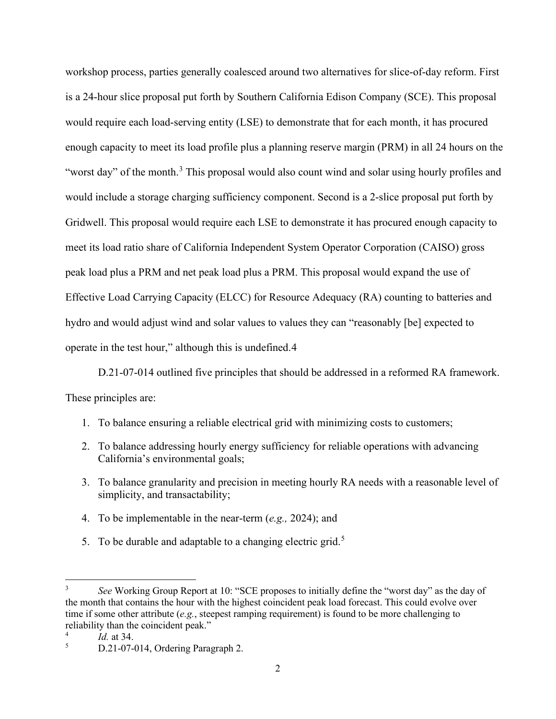workshop process, parties generally coalesced around two alternatives for slice-of-day reform. First is a 24-hour slice proposal put forth by Southern California Edison Company (SCE). This proposal would require each load-serving entity (LSE) to demonstrate that for each month, it has procured enough capacity to meet its load profile plus a planning reserve margin (PRM) in all 24 hours on the "worst day" of the month.<sup>[3](#page-5-0)</sup> This proposal would also count wind and solar using hourly profiles and would include a storage charging sufficiency component. Second is a 2-slice proposal put forth by Gridwell. This proposal would require each LSE to demonstrate it has procured enough capacity to meet its load ratio share of California Independent System Operator Corporation (CAISO) gross peak load plus a PRM and net peak load plus a PRM. This proposal would expand the use of Effective Load Carrying Capacity (ELCC) for Resource Adequacy (RA) counting to batteries and hydro and would adjust wind and solar values to values they can "reasonably [be] expected to operate in the test hour," although this is undefined.[4](#page-5-1)

D.21-07-014 outlined five principles that should be addressed in a reformed RA framework. These principles are:

- 1. To balance ensuring a reliable electrical grid with minimizing costs to customers;
- 2. To balance addressing hourly energy sufficiency for reliable operations with advancing California's environmental goals;
- 3. To balance granularity and precision in meeting hourly RA needs with a reasonable level of simplicity, and transactability;
- 4. To be implementable in the near-term (*e.g.,* 2024); and
- [5](#page-5-2). To be durable and adaptable to a changing electric grid.<sup>5</sup>

<span id="page-5-0"></span><sup>3</sup> *See* Working Group Report at 10: "SCE proposes to initially define the "worst day" as the day of the month that contains the hour with the highest coincident peak load forecast. This could evolve over time if some other attribute (*e.g.*, steepest ramping requirement) is found to be more challenging to reliability than the coincident peak."

<span id="page-5-1"></span><sup>4</sup> *Id.* at 34.

<span id="page-5-2"></span><sup>5</sup> D.21-07-014, Ordering Paragraph 2.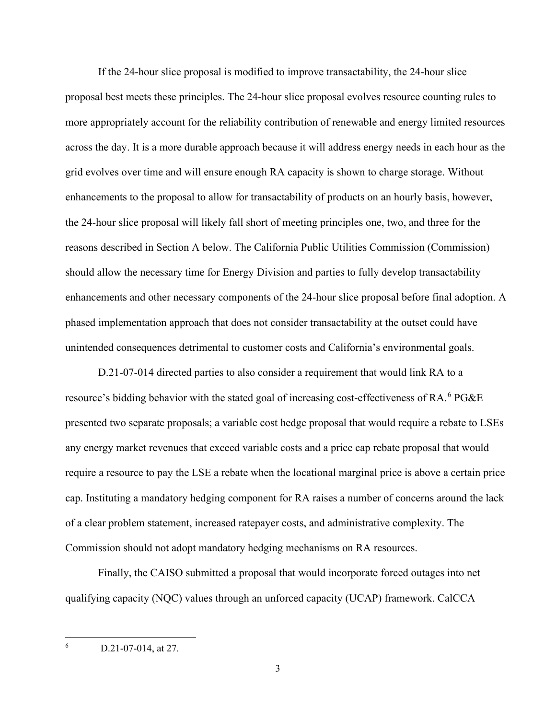If the 24-hour slice proposal is modified to improve transactability, the 24-hour slice proposal best meets these principles. The 24-hour slice proposal evolves resource counting rules to more appropriately account for the reliability contribution of renewable and energy limited resources across the day. It is a more durable approach because it will address energy needs in each hour as the grid evolves over time and will ensure enough RA capacity is shown to charge storage. Without enhancements to the proposal to allow for transactability of products on an hourly basis, however, the 24-hour slice proposal will likely fall short of meeting principles one, two, and three for the reasons described in Section A below. The California Public Utilities Commission (Commission) should allow the necessary time for Energy Division and parties to fully develop transactability enhancements and other necessary components of the 24-hour slice proposal before final adoption. A phased implementation approach that does not consider transactability at the outset could have unintended consequences detrimental to customer costs and California's environmental goals.

D.21-07-014 directed parties to also consider a requirement that would link RA to a resource's bidding behavior with the stated goal of increasing cost-effectiveness of RA.<sup>[6](#page-6-0)</sup> PG&E presented two separate proposals; a variable cost hedge proposal that would require a rebate to LSEs any energy market revenues that exceed variable costs and a price cap rebate proposal that would require a resource to pay the LSE a rebate when the locational marginal price is above a certain price cap. Instituting a mandatory hedging component for RA raises a number of concerns around the lack of a clear problem statement, increased ratepayer costs, and administrative complexity. The Commission should not adopt mandatory hedging mechanisms on RA resources.

Finally, the CAISO submitted a proposal that would incorporate forced outages into net qualifying capacity (NQC) values through an unforced capacity (UCAP) framework. CalCCA

<span id="page-6-0"></span><sup>6</sup> D.21-07-014, at 27.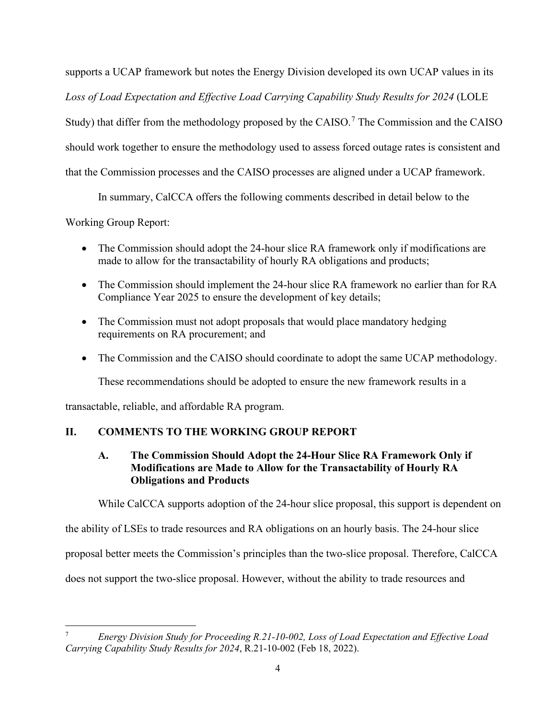supports a UCAP framework but notes the Energy Division developed its own UCAP values in its *Loss of Load Expectation and Effective Load Carrying Capability Study Results for 2024* (LOLE Study) that differ from the methodology proposed by the CAISO.<sup>[7](#page-7-2)</sup> The Commission and the CAISO should work together to ensure the methodology used to assess forced outage rates is consistent and that the Commission processes and the CAISO processes are aligned under a UCAP framework.

In summary, CalCCA offers the following comments described in detail below to the

Working Group Report:

- The Commission should adopt the 24-hour slice RA framework only if modifications are made to allow for the transactability of hourly RA obligations and products;
- The Commission should implement the 24-hour slice RA framework no earlier than for RA Compliance Year 2025 to ensure the development of key details;
- The Commission must not adopt proposals that would place mandatory hedging requirements on RA procurement; and
- The Commission and the CAISO should coordinate to adopt the same UCAP methodology.

These recommendations should be adopted to ensure the new framework results in a

transactable, reliable, and affordable RA program.

# <span id="page-7-1"></span><span id="page-7-0"></span>**II. COMMENTS TO THE WORKING GROUP REPORT**

## **A. The Commission Should Adopt the 24-Hour Slice RA Framework Only if Modifications are Made to Allow for the Transactability of Hourly RA Obligations and Products**

While CalCCA supports adoption of the 24-hour slice proposal, this support is dependent on

the ability of LSEs to trade resources and RA obligations on an hourly basis. The 24-hour slice

proposal better meets the Commission's principles than the two-slice proposal. Therefore, CalCCA

does not support the two-slice proposal. However, without the ability to trade resources and

<span id="page-7-2"></span><sup>7</sup> *Energy Division Study for Proceeding R.21-10-002, Loss of Load Expectation and Effective Load Carrying Capability Study Results for 2024*, R.21-10-002 (Feb 18, 2022).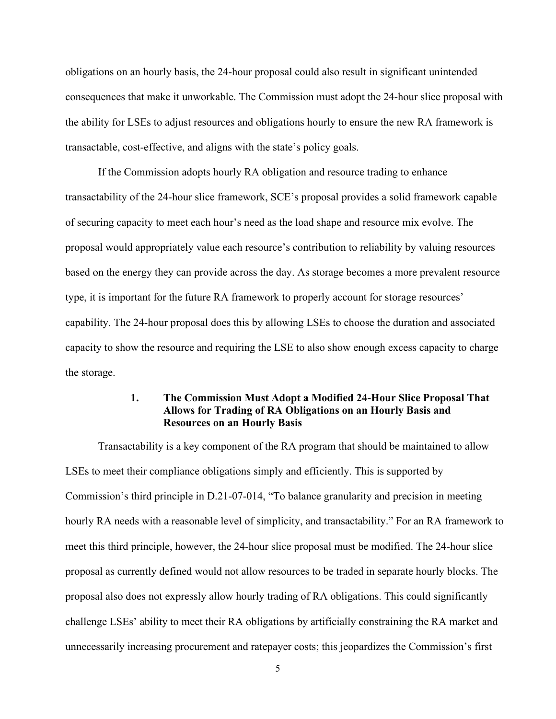obligations on an hourly basis, the 24-hour proposal could also result in significant unintended consequences that make it unworkable. The Commission must adopt the 24-hour slice proposal with the ability for LSEs to adjust resources and obligations hourly to ensure the new RA framework is transactable, cost-effective, and aligns with the state's policy goals.

If the Commission adopts hourly RA obligation and resource trading to enhance transactability of the 24-hour slice framework, SCE's proposal provides a solid framework capable of securing capacity to meet each hour's need as the load shape and resource mix evolve. The proposal would appropriately value each resource's contribution to reliability by valuing resources based on the energy they can provide across the day. As storage becomes a more prevalent resource type, it is important for the future RA framework to properly account for storage resources' capability. The 24-hour proposal does this by allowing LSEs to choose the duration and associated capacity to show the resource and requiring the LSE to also show enough excess capacity to charge the storage.

### **1. The Commission Must Adopt a Modified 24-Hour Slice Proposal That Allows for Trading of RA Obligations on an Hourly Basis and Resources on an Hourly Basis**

<span id="page-8-0"></span>Transactability is a key component of the RA program that should be maintained to allow LSEs to meet their compliance obligations simply and efficiently. This is supported by Commission's third principle in D.21-07-014, "To balance granularity and precision in meeting hourly RA needs with a reasonable level of simplicity, and transactability." For an RA framework to meet this third principle, however, the 24-hour slice proposal must be modified. The 24-hour slice proposal as currently defined would not allow resources to be traded in separate hourly blocks. The proposal also does not expressly allow hourly trading of RA obligations. This could significantly challenge LSEs' ability to meet their RA obligations by artificially constraining the RA market and unnecessarily increasing procurement and ratepayer costs; this jeopardizes the Commission's first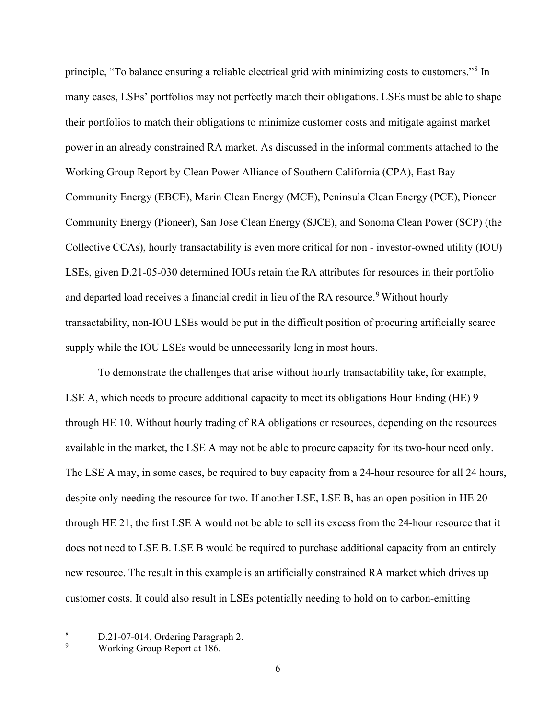principle, "To balance ensuring a reliable electrical grid with minimizing costs to customers."[8](#page-9-0) In many cases, LSEs' portfolios may not perfectly match their obligations. LSEs must be able to shape their portfolios to match their obligations to minimize customer costs and mitigate against market power in an already constrained RA market. As discussed in the informal comments attached to the Working Group Report by Clean Power Alliance of Southern California (CPA), East Bay Community Energy (EBCE), Marin Clean Energy (MCE), Peninsula Clean Energy (PCE), Pioneer Community Energy (Pioneer), San Jose Clean Energy (SJCE), and Sonoma Clean Power (SCP) (the Collective CCAs), hourly transactability is even more critical for non - investor-owned utility (IOU) LSEs, given D.21-05-030 determined IOUs retain the RA attributes for resources in their portfolio and departed load receives a financial credit in lieu of the RA resource.<sup>[9](#page-9-1)</sup> Without hourly transactability, non-IOU LSEs would be put in the difficult position of procuring artificially scarce supply while the IOU LSEs would be unnecessarily long in most hours.

To demonstrate the challenges that arise without hourly transactability take, for example, LSE A, which needs to procure additional capacity to meet its obligations Hour Ending (HE) 9 through HE 10. Without hourly trading of RA obligations or resources, depending on the resources available in the market, the LSE A may not be able to procure capacity for its two-hour need only. The LSE A may, in some cases, be required to buy capacity from a 24-hour resource for all 24 hours, despite only needing the resource for two. If another LSE, LSE B, has an open position in HE 20 through HE 21, the first LSE A would not be able to sell its excess from the 24-hour resource that it does not need to LSE B. LSE B would be required to purchase additional capacity from an entirely new resource. The result in this example is an artificially constrained RA market which drives up customer costs. It could also result in LSEs potentially needing to hold on to carbon-emitting

<span id="page-9-0"></span><sup>8</sup> D.21-07-014, Ordering Paragraph 2.

<span id="page-9-1"></span><sup>9</sup> Working Group Report at 186.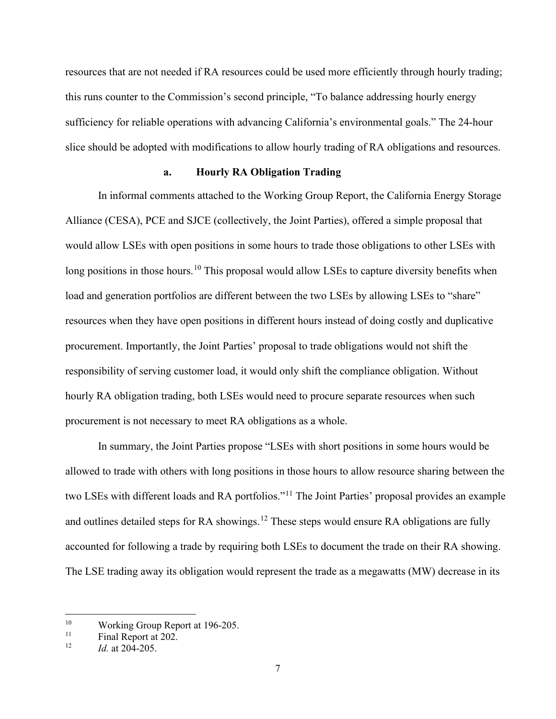resources that are not needed if RA resources could be used more efficiently through hourly trading; this runs counter to the Commission's second principle, "To balance addressing hourly energy sufficiency for reliable operations with advancing California's environmental goals." The 24-hour slice should be adopted with modifications to allow hourly trading of RA obligations and resources.

### **a. Hourly RA Obligation Trading**

In informal comments attached to the Working Group Report, the California Energy Storage Alliance (CESA), PCE and SJCE (collectively, the Joint Parties), offered a simple proposal that would allow LSEs with open positions in some hours to trade those obligations to other LSEs with long positions in those hours.<sup>10</sup> This proposal would allow LSEs to capture diversity benefits when load and generation portfolios are different between the two LSEs by allowing LSEs to "share" resources when they have open positions in different hours instead of doing costly and duplicative procurement. Importantly, the Joint Parties' proposal to trade obligations would not shift the responsibility of serving customer load, it would only shift the compliance obligation. Without hourly RA obligation trading, both LSEs would need to procure separate resources when such procurement is not necessary to meet RA obligations as a whole.

In summary, the Joint Parties propose "LSEs with short positions in some hours would be allowed to trade with others with long positions in those hours to allow resource sharing between the two LSEs with different loads and RA portfolios."<sup>[11](#page-10-1)</sup> The Joint Parties' proposal provides an example and outlines detailed steps for RA showings.<sup>[12](#page-10-2)</sup> These steps would ensure RA obligations are fully accounted for following a trade by requiring both LSEs to document the trade on their RA showing. The LSE trading away its obligation would represent the trade as a megawatts (MW) decrease in its

<span id="page-10-0"></span><sup>&</sup>lt;sup>10</sup> Working Group Report at 196-205.<br><sup>11</sup> Final Report at 202

<span id="page-10-2"></span><span id="page-10-1"></span><sup>&</sup>lt;sup>11</sup> Final Report at 202.<br><sup>12</sup> *L*d at 204, 205

<sup>12</sup> *Id.* at 204-205.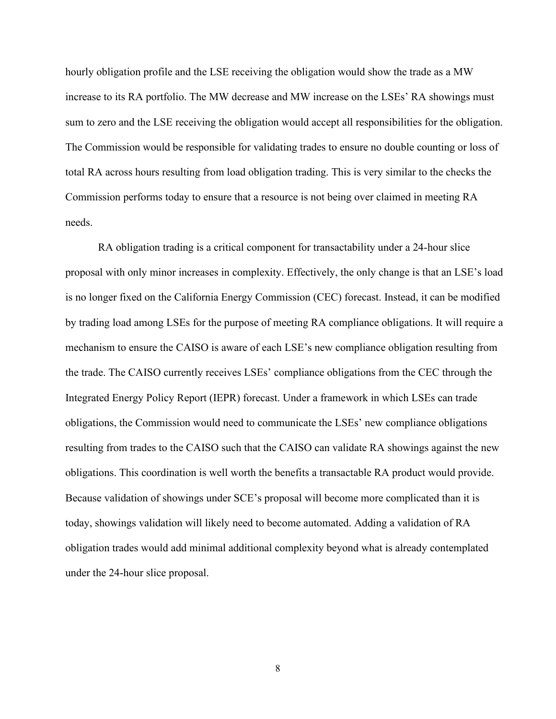hourly obligation profile and the LSE receiving the obligation would show the trade as a MW increase to its RA portfolio. The MW decrease and MW increase on the LSEs' RA showings must sum to zero and the LSE receiving the obligation would accept all responsibilities for the obligation. The Commission would be responsible for validating trades to ensure no double counting or loss of total RA across hours resulting from load obligation trading. This is very similar to the checks the Commission performs today to ensure that a resource is not being over claimed in meeting RA needs.

RA obligation trading is a critical component for transactability under a 24-hour slice proposal with only minor increases in complexity. Effectively, the only change is that an LSE's load is no longer fixed on the California Energy Commission (CEC) forecast. Instead, it can be modified by trading load among LSEs for the purpose of meeting RA compliance obligations. It will require a mechanism to ensure the CAISO is aware of each LSE's new compliance obligation resulting from the trade. The CAISO currently receives LSEs' compliance obligations from the CEC through the Integrated Energy Policy Report (IEPR) forecast. Under a framework in which LSEs can trade obligations, the Commission would need to communicate the LSEs' new compliance obligations resulting from trades to the CAISO such that the CAISO can validate RA showings against the new obligations. This coordination is well worth the benefits a transactable RA product would provide. Because validation of showings under SCE's proposal will become more complicated than it is today, showings validation will likely need to become automated. Adding a validation of RA obligation trades would add minimal additional complexity beyond what is already contemplated under the 24-hour slice proposal.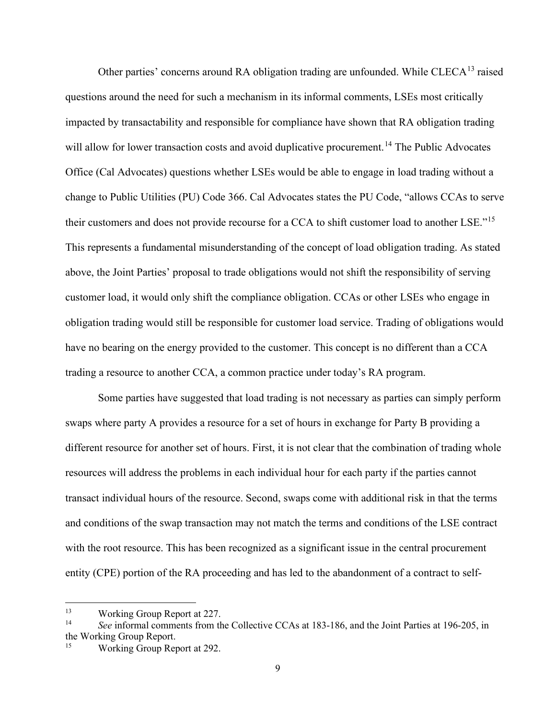Other parties' concerns around RA obligation trading are unfounded. While CLECA<sup>[13](#page-12-0)</sup> raised questions around the need for such a mechanism in its informal comments, LSEs most critically impacted by transactability and responsible for compliance have shown that RA obligation trading will allow for lower transaction costs and avoid duplicative procurement.<sup>14</sup> The Public Advocates Office (Cal Advocates) questions whether LSEs would be able to engage in load trading without a change to Public Utilities (PU) Code 366. Cal Advocates states the PU Code, "allows CCAs to serve their customers and does not provide recourse for a CCA to shift customer load to another LSE."[15](#page-12-2) This represents a fundamental misunderstanding of the concept of load obligation trading. As stated above, the Joint Parties' proposal to trade obligations would not shift the responsibility of serving customer load, it would only shift the compliance obligation. CCAs or other LSEs who engage in obligation trading would still be responsible for customer load service. Trading of obligations would have no bearing on the energy provided to the customer. This concept is no different than a CCA trading a resource to another CCA, a common practice under today's RA program.

Some parties have suggested that load trading is not necessary as parties can simply perform swaps where party A provides a resource for a set of hours in exchange for Party B providing a different resource for another set of hours. First, it is not clear that the combination of trading whole resources will address the problems in each individual hour for each party if the parties cannot transact individual hours of the resource. Second, swaps come with additional risk in that the terms and conditions of the swap transaction may not match the terms and conditions of the LSE contract with the root resource. This has been recognized as a significant issue in the central procurement entity (CPE) portion of the RA proceeding and has led to the abandonment of a contract to self-

<span id="page-12-1"></span><span id="page-12-0"></span><sup>13</sup> Working Group Report at 227. 14 *See* informal comments from the Collective CCAs at 183-186, and the Joint Parties at 196-205, in the Working Group Report.<br><sup>15</sup> Working Group Report at 292.

<span id="page-12-2"></span>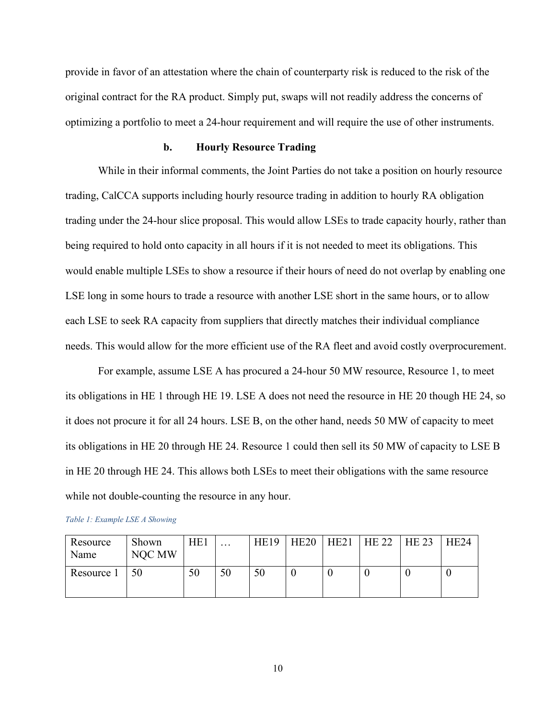provide in favor of an attestation where the chain of counterparty risk is reduced to the risk of the original contract for the RA product. Simply put, swaps will not readily address the concerns of optimizing a portfolio to meet a 24-hour requirement and will require the use of other instruments.

### **b. Hourly Resource Trading**

While in their informal comments, the Joint Parties do not take a position on hourly resource trading, CalCCA supports including hourly resource trading in addition to hourly RA obligation trading under the 24-hour slice proposal. This would allow LSEs to trade capacity hourly, rather than being required to hold onto capacity in all hours if it is not needed to meet its obligations. This would enable multiple LSEs to show a resource if their hours of need do not overlap by enabling one LSE long in some hours to trade a resource with another LSE short in the same hours, or to allow each LSE to seek RA capacity from suppliers that directly matches their individual compliance needs. This would allow for the more efficient use of the RA fleet and avoid costly overprocurement.

For example, assume LSE A has procured a 24-hour 50 MW resource, Resource 1, to meet its obligations in HE 1 through HE 19. LSE A does not need the resource in HE 20 though HE 24, so it does not procure it for all 24 hours. LSE B, on the other hand, needs 50 MW of capacity to meet its obligations in HE 20 through HE 24. Resource 1 could then sell its 50 MW of capacity to LSE B in HE 20 through HE 24. This allows both LSEs to meet their obligations with the same resource while not double-counting the resource in any hour.

| Table 1: Example LSE A Showing |  |
|--------------------------------|--|
|--------------------------------|--|

| Resource<br>Name | Shown<br>NOC MW | HE <sub>1</sub> | $\cdots$ | <b>HE19</b> | HE <sub>20</sub> | HE21 | HE 22 | HE 23 | HE24 |
|------------------|-----------------|-----------------|----------|-------------|------------------|------|-------|-------|------|
| Resource 1       | 50              | 50              | 50       | 50          |                  |      |       |       |      |

10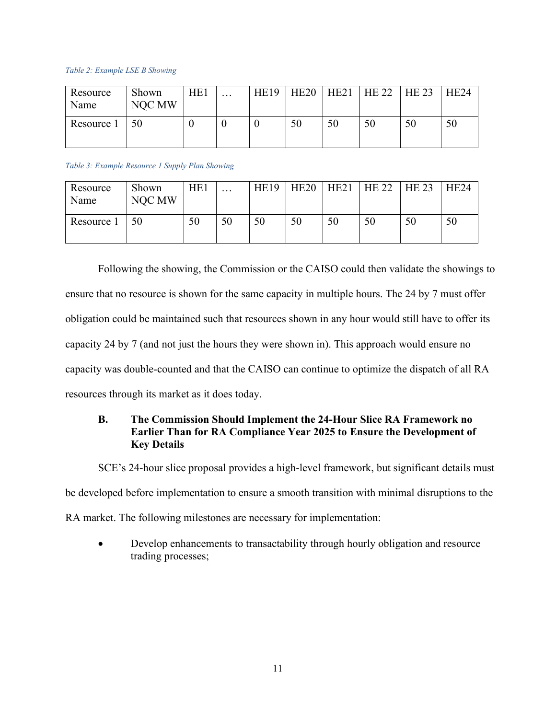#### *Table 2: Example LSE B Showing*

| Resource<br>Name | Shown<br>NOC MW | HE <sub>1</sub> | $\cdots$ | <b>HE19</b> | HE <sub>20</sub> | HE21 | HE 22 | HE 23 | <b>HE24</b> |
|------------------|-----------------|-----------------|----------|-------------|------------------|------|-------|-------|-------------|
| Resource 1       |                 |                 |          |             | 50               | 50   | 50    | 50    | 50          |

#### *Table 3: Example Resource 1 Supply Plan Showing*

| Resource<br>Name | Shown<br>NOC MW | HE1 | $\cdots$ | <b>HE19</b> | HE <sub>20</sub> | HE21 | HE 22 | <b>HE 23</b> | HE <sub>24</sub> |
|------------------|-----------------|-----|----------|-------------|------------------|------|-------|--------------|------------------|
| Resource 1       | 50              | 50  | 50       | 50          | 50               | 50   | 50    | 50           | 50               |

Following the showing, the Commission or the CAISO could then validate the showings to ensure that no resource is shown for the same capacity in multiple hours. The 24 by 7 must offer obligation could be maintained such that resources shown in any hour would still have to offer its capacity 24 by 7 (and not just the hours they were shown in). This approach would ensure no capacity was double-counted and that the CAISO can continue to optimize the dispatch of all RA resources through its market as it does today.

## <span id="page-14-0"></span>**B. The Commission Should Implement the 24-Hour Slice RA Framework no Earlier Than for RA Compliance Year 2025 to Ensure the Development of Key Details**

SCE's 24-hour slice proposal provides a high-level framework, but significant details must

be developed before implementation to ensure a smooth transition with minimal disruptions to the

RA market. The following milestones are necessary for implementation:

• Develop enhancements to transactability through hourly obligation and resource trading processes;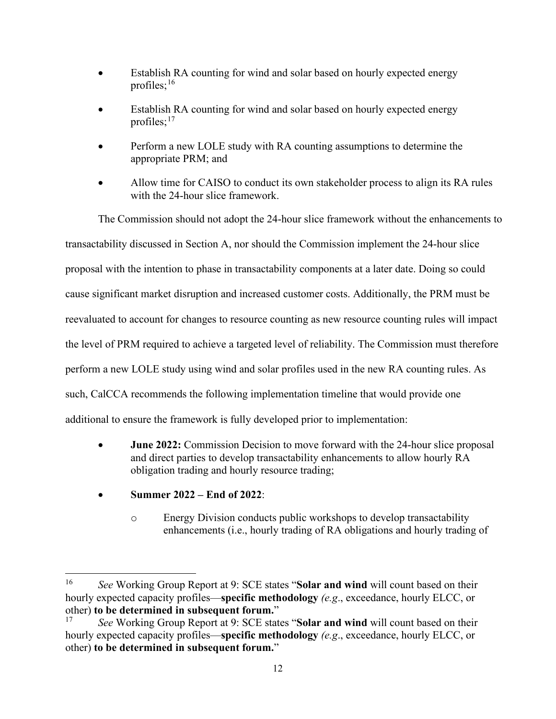- Establish RA counting for wind and solar based on hourly expected energy profiles; [16](#page-15-0)
- Establish RA counting for wind and solar based on hourly expected energy profiles;<sup>17</sup>
- Perform a new LOLE study with RA counting assumptions to determine the appropriate PRM; and
- Allow time for CAISO to conduct its own stakeholder process to align its RA rules with the 24-hour slice framework.

The Commission should not adopt the 24-hour slice framework without the enhancements to transactability discussed in Section A, nor should the Commission implement the 24-hour slice proposal with the intention to phase in transactability components at a later date. Doing so could cause significant market disruption and increased customer costs. Additionally, the PRM must be reevaluated to account for changes to resource counting as new resource counting rules will impact the level of PRM required to achieve a targeted level of reliability. The Commission must therefore perform a new LOLE study using wind and solar profiles used in the new RA counting rules. As such, CalCCA recommends the following implementation timeline that would provide one additional to ensure the framework is fully developed prior to implementation:

- **June 2022:** Commission Decision to move forward with the 24-hour slice proposal and direct parties to develop transactability enhancements to allow hourly RA obligation trading and hourly resource trading;
- **Summer 2022 End of 2022**:
	- o Energy Division conducts public workshops to develop transactability enhancements (i.e., hourly trading of RA obligations and hourly trading of

<span id="page-15-0"></span><sup>16</sup> *See* Working Group Report at 9: SCE states "**Solar and wind** will count based on their hourly expected capacity profiles—**specific methodology** *(e.g*., exceedance, hourly ELCC, or other) **to be determined in subsequent forum."**<br><sup>17</sup> See Working Group Report at 9: SCE state

<span id="page-15-1"></span><sup>17</sup> *See* Working Group Report at 9: SCE states "**Solar and wind** will count based on their hourly expected capacity profiles—**specific methodology** *(e.g*., exceedance, hourly ELCC, or other) **to be determined in subsequent forum.**"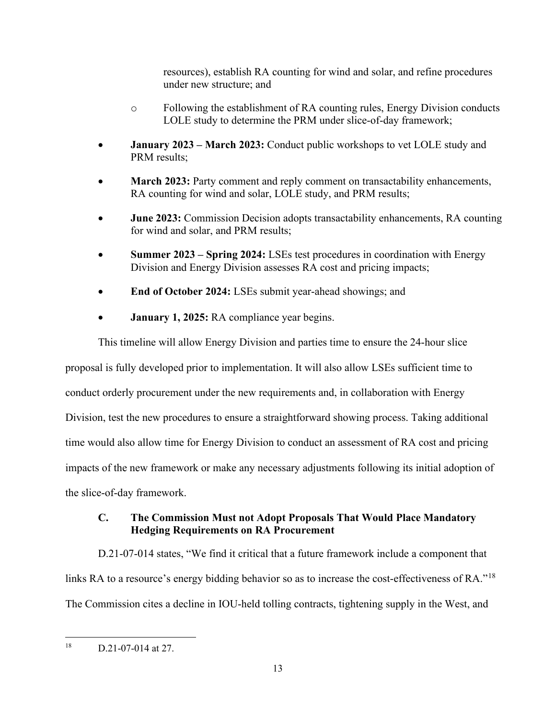resources), establish RA counting for wind and solar, and refine procedures under new structure; and

- o Following the establishment of RA counting rules, Energy Division conducts LOLE study to determine the PRM under slice-of-day framework;
- **January 2023 March 2023:** Conduct public workshops to vet LOLE study and PRM results;
- **March 2023:** Party comment and reply comment on transactability enhancements, RA counting for wind and solar, LOLE study, and PRM results;
- **June 2023:** Commission Decision adopts transactability enhancements, RA counting for wind and solar, and PRM results;
- **Summer 2023 Spring 2024:** LSEs test procedures in coordination with Energy Division and Energy Division assesses RA cost and pricing impacts;
- **End of October 2024:** LSEs submit year-ahead showings; and
- **January 1, 2025:** RA compliance year begins.

This timeline will allow Energy Division and parties time to ensure the 24-hour slice proposal is fully developed prior to implementation. It will also allow LSEs sufficient time to conduct orderly procurement under the new requirements and, in collaboration with Energy Division, test the new procedures to ensure a straightforward showing process. Taking additional time would also allow time for Energy Division to conduct an assessment of RA cost and pricing impacts of the new framework or make any necessary adjustments following its initial adoption of the slice-of-day framework.

## <span id="page-16-0"></span>**C. The Commission Must not Adopt Proposals That Would Place Mandatory Hedging Requirements on RA Procurement**

D.21-07-014 states, "We find it critical that a future framework include a component that links RA to a resource's energy bidding behavior so as to increase the cost-effectiveness of RA."<sup>[18](#page-16-1)</sup> The Commission cites a decline in IOU-held tolling contracts, tightening supply in the West, and

<span id="page-16-1"></span> $18$  D.21-07-014 at 27.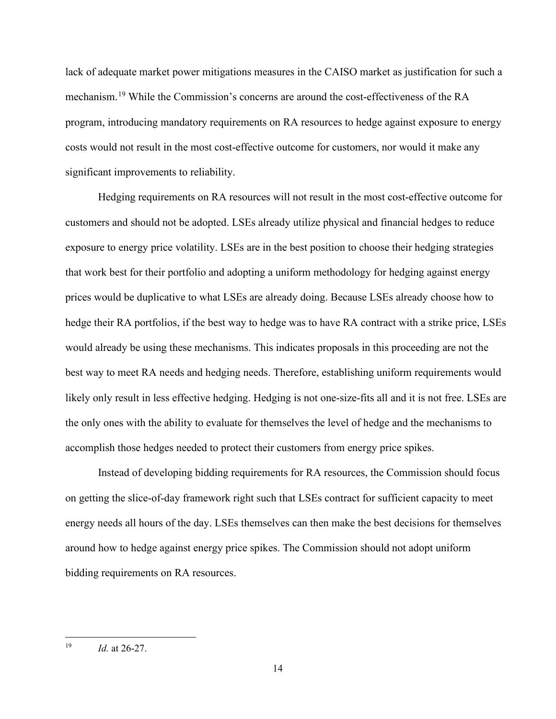lack of adequate market power mitigations measures in the CAISO market as justification for such a mechanism.<sup>[19](#page-17-0)</sup> While the Commission's concerns are around the cost-effectiveness of the RA program, introducing mandatory requirements on RA resources to hedge against exposure to energy costs would not result in the most cost-effective outcome for customers, nor would it make any significant improvements to reliability.

Hedging requirements on RA resources will not result in the most cost-effective outcome for customers and should not be adopted. LSEs already utilize physical and financial hedges to reduce exposure to energy price volatility. LSEs are in the best position to choose their hedging strategies that work best for their portfolio and adopting a uniform methodology for hedging against energy prices would be duplicative to what LSEs are already doing. Because LSEs already choose how to hedge their RA portfolios, if the best way to hedge was to have RA contract with a strike price, LSEs would already be using these mechanisms. This indicates proposals in this proceeding are not the best way to meet RA needs and hedging needs. Therefore, establishing uniform requirements would likely only result in less effective hedging. Hedging is not one-size-fits all and it is not free. LSEs are the only ones with the ability to evaluate for themselves the level of hedge and the mechanisms to accomplish those hedges needed to protect their customers from energy price spikes.

Instead of developing bidding requirements for RA resources, the Commission should focus on getting the slice-of-day framework right such that LSEs contract for sufficient capacity to meet energy needs all hours of the day. LSEs themselves can then make the best decisions for themselves around how to hedge against energy price spikes. The Commission should not adopt uniform bidding requirements on RA resources.

<span id="page-17-0"></span><sup>19</sup> *Id.* at 26-27.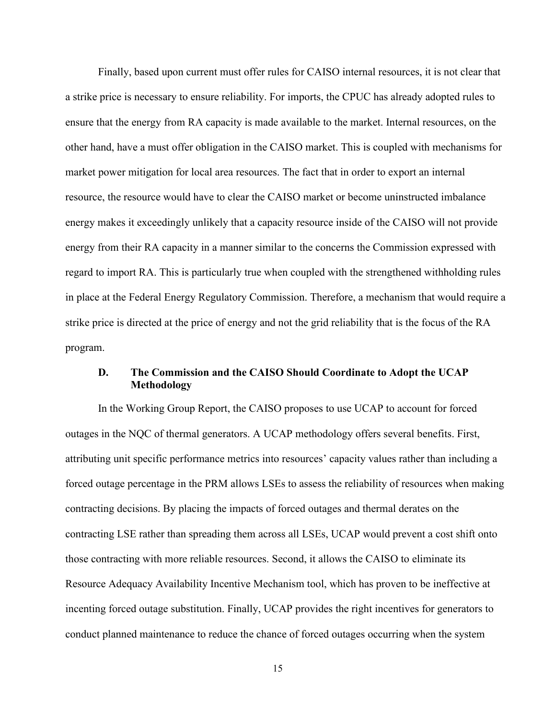Finally, based upon current must offer rules for CAISO internal resources, it is not clear that a strike price is necessary to ensure reliability. For imports, the CPUC has already adopted rules to ensure that the energy from RA capacity is made available to the market. Internal resources, on the other hand, have a must offer obligation in the CAISO market. This is coupled with mechanisms for market power mitigation for local area resources. The fact that in order to export an internal resource, the resource would have to clear the CAISO market or become uninstructed imbalance energy makes it exceedingly unlikely that a capacity resource inside of the CAISO will not provide energy from their RA capacity in a manner similar to the concerns the Commission expressed with regard to import RA. This is particularly true when coupled with the strengthened withholding rules in place at the Federal Energy Regulatory Commission. Therefore, a mechanism that would require a strike price is directed at the price of energy and not the grid reliability that is the focus of the RA program.

### <span id="page-18-0"></span>**D. The Commission and the CAISO Should Coordinate to Adopt the UCAP Methodology**

In the Working Group Report, the CAISO proposes to use UCAP to account for forced outages in the NQC of thermal generators. A UCAP methodology offers several benefits. First, attributing unit specific performance metrics into resources' capacity values rather than including a forced outage percentage in the PRM allows LSEs to assess the reliability of resources when making contracting decisions. By placing the impacts of forced outages and thermal derates on the contracting LSE rather than spreading them across all LSEs, UCAP would prevent a cost shift onto those contracting with more reliable resources. Second, it allows the CAISO to eliminate its Resource Adequacy Availability Incentive Mechanism tool, which has proven to be ineffective at incenting forced outage substitution. Finally, UCAP provides the right incentives for generators to conduct planned maintenance to reduce the chance of forced outages occurring when the system

15